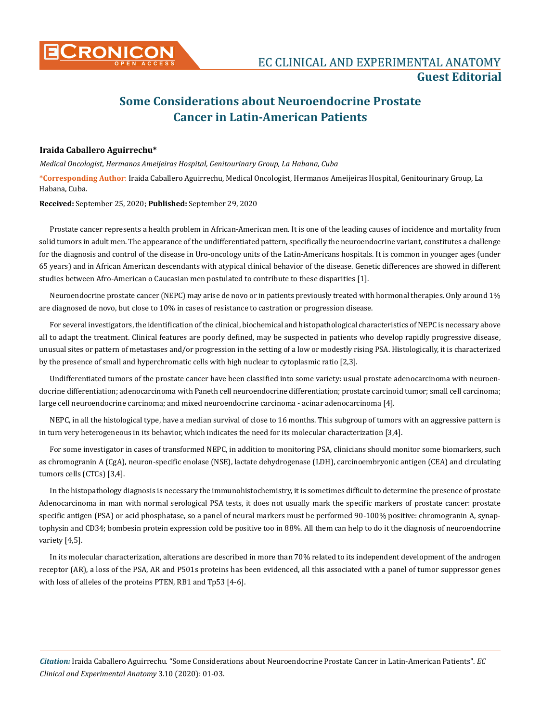

# **Some Considerations about Neuroendocrine Prostate Cancer in Latin-American Patients**

## **Iraida Caballero Aguirrechu\***

*Medical Oncologist, Hermanos Ameijeiras Hospital, Genitourinary Group, La Habana, Cuba*

**\*Corresponding Author**: Iraida Caballero Aguirrechu, Medical Oncologist, Hermanos Ameijeiras Hospital, Genitourinary Group, La Habana, Cuba.

**Received:** September 25, 2020; **Published:** September 29, 2020

Prostate cancer represents a health problem in African-American men. It is one of the leading causes of incidence and mortality from solid tumors in adult men. The appearance of the undifferentiated pattern, specifically the neuroendocrine variant, constitutes a challenge for the diagnosis and control of the disease in Uro-oncology units of the Latin-Americans hospitals. It is common in younger ages (under 65 years) and in African American descendants with atypical clinical behavior of the disease. Genetic differences are showed in different studies between Afro-American o Caucasian men postulated to contribute to these disparities [1].

Neuroendocrine prostate cancer (NEPC) may arise de novo or in patients previously treated with hormonal therapies. Only around 1% are diagnosed de novo, but close to 10% in cases of resistance to castration or progression disease.

For several investigators, the identification of the clinical, biochemical and histopathological characteristics of NEPC is necessary above all to adapt the treatment. Clinical features are poorly defined, may be suspected in patients who develop rapidly progressive disease, unusual sites or pattern of metastases and/or progression in the setting of a low or modestly rising PSA. Histologically, it is characterized by the presence of small and hyperchromatic cells with high nuclear to cytoplasmic ratio [2,3].

Undifferentiated tumors of the prostate cancer have been classified into some variety: usual prostate adenocarcinoma with neuroendocrine differentiation; adenocarcinoma with Paneth cell neuroendocrine differentiation; prostate carcinoid tumor; small cell carcinoma; large cell neuroendocrine carcinoma; and mixed neuroendocrine carcinoma - acinar adenocarcinoma [4].

NEPC, in all the histological type, have a median survival of close to 16 months. This subgroup of tumors with an aggressive pattern is in turn very heterogeneous in its behavior, which indicates the need for its molecular characterization [3,4].

For some investigator in cases of transformed NEPC, in addition to monitoring PSA, clinicians should monitor some biomarkers, such as chromogranin A (CgA), neuron-specific enolase (NSE), lactate dehydrogenase (LDH), carcinoembryonic antigen (CEA) and circulating tumors cells (CTCs) [3,4].

In the histopathology diagnosis is necessary the immunohistochemistry, it is sometimes difficult to determine the presence of prostate Adenocarcinoma in man with normal serological PSA tests, it does not usually mark the specific markers of prostate cancer: prostate specific antigen (PSA) or acid phosphatase, so a panel of neural markers must be performed 90-100% positive: chromogranin A, synaptophysin and CD34; bombesin protein expression cold be positive too in 88%. All them can help to do it the diagnosis of neuroendocrine variety [4,5].

In its molecular characterization, alterations are described in more than 70% related to its independent development of the androgen receptor (AR), a loss of the PSA, AR and P501s proteins has been evidenced, all this associated with a panel of tumor suppressor genes with loss of alleles of the proteins PTEN, RB1 and Tp53 [4-6].

*Citation:* Iraida Caballero Aguirrechu*.* "Some Considerations about Neuroendocrine Prostate Cancer in Latin-American Patients". *EC Clinical and Experimental Anatomy* 3.10 (2020): 01-03.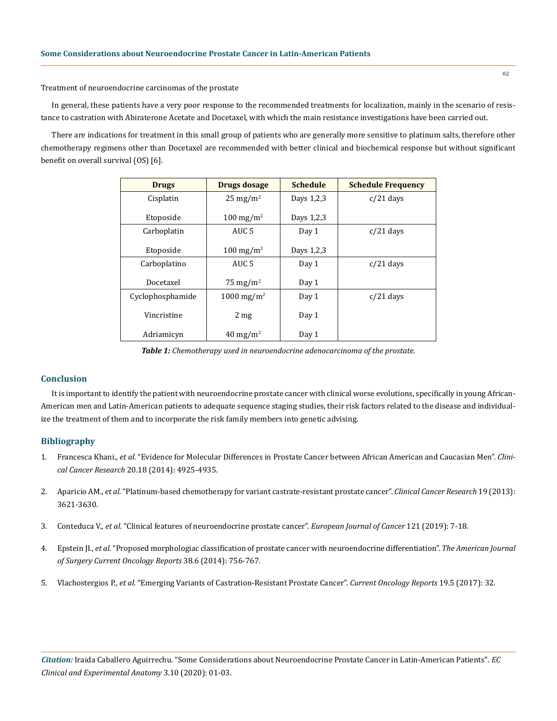# Treatment of neuroendocrine carcinomas of the prostate

In general, these patients have a very poor response to the recommended treatments for localization, mainly in the scenario of resistance to castration with Abiraterone Acetate and Docetaxel, with which the main resistance investigations have been carried out.

There are indications for treatment in this small group of patients who are generally more sensitive to platinum salts, therefore other chemotherapy regimens other than Docetaxel are recommended with better clinical and biochemical response but without significant benefit on overall survival (OS) [6].

| <b>Drugs</b>     | Drugs dosage             | <b>Schedule</b> | <b>Schedule Frequency</b> |
|------------------|--------------------------|-----------------|---------------------------|
| Cisplatin        | $25 \text{ mg/m}^2$      | Days 1,2,3      | $c/21$ days               |
| Etoposide        | $100 \text{ mg/m}^2$     | Days 1,2,3      |                           |
| Carboplatin      | AUC <sub>5</sub>         | Day 1           | $c/21$ days               |
| Etoposide        | $100 \text{ mg/m}^2$     | Days 1,2,3      |                           |
| Carboplatino     | AUC <sub>5</sub>         | Day 1           | $c/21$ days               |
| Docetaxel        | 75 mg/m <sup>2</sup>     | Day 1           |                           |
| Cyclophosphamide | $1000 \,\mathrm{mg/m^2}$ | Day 1           | $c/21$ days               |
| Vincristine      | 2 <sub>mg</sub>          | Day 1           |                           |
| Adriamicyn       | $40 \text{ mg/m}^2$      | Day 1           |                           |

*Table 1: Chemotherapy used in neuroendocrine adenocarcinoma of the prostate.*

#### **Conclusion**

It is important to identify the patient with neuroendocrine prostate cancer with clinical worse evolutions, specifically in young African-American men and Latin-American patients to adequate sequence staging studies, their risk factors related to the disease and individualize the treatment of them and to incorporate the risk family members into genetic advising.

### **Bibliography**

- 1. Francesca Khani., *et al.* ["Evidence for Molecular Differences in Prostate Cancer between African American and Caucasian Men".](https://pubmed.ncbi.nlm.nih.gov/25056375/) *Clinical Cancer Research* [20.18 \(2014\): 4925-4935.](https://pubmed.ncbi.nlm.nih.gov/25056375/)
- 2. Aparicio AM., *et al.* ["Platinum-based chemotherapy for variant castrate-resistant prostate cancer".](https://pubmed.ncbi.nlm.nih.gov/23649003/) *Clinical Cancer Research* 19 (2013): [3621-3630.](https://pubmed.ncbi.nlm.nih.gov/23649003/)
- 3. Conteduca V., *et al.* ["Clinical features of neuroendocrine prostate cancer".](https://www.ejcancer.com/article/S0959-8049(19)30471-X/abstract) *European Journal of Cancer* 121 (2019): 7-18.
- 4. Epstein JI., *et al.* ["Proposed morphologiac classification of prostate cancer with neuroendocrine differentiation".](https://pubmed.ncbi.nlm.nih.gov/24705311/) *The American Journal [of Surgery Current Oncology Reports](https://pubmed.ncbi.nlm.nih.gov/24705311/)* 38.6 (2014): 756-767.
- 5. Vlachostergios P., *et al.* ["Emerging Variants of Castration-Resistant Prostate Cancer".](https://pubmed.ncbi.nlm.nih.gov/28361223/) *Current Oncology Reports* 19.5 (2017): 32.